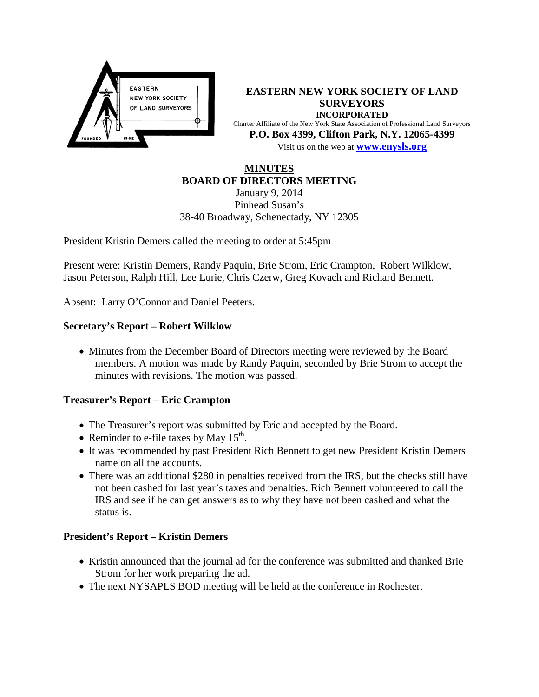

**EASTERN NEW YORK SOCIETY OF LAND SURVEYORS INCORPORATED** Charter Affiliate of the New York State Association of Professional Land Surveyors **P.O. Box 4399, Clifton Park, N.Y. 12065-4399** Visit us on the web at **[www.e](http://www.enysls.org/)nysls.org**

#### **MINUTES BOARD OF DIRECTORS MEETING**

January 9, 2014 Pinhead Susan's 38-40 Broadway, Schenectady, NY 12305

President Kristin Demers called the meeting to order at 5:45pm

Present were: Kristin Demers, Randy Paquin, Brie Strom, Eric Crampton, Robert Wilklow, Jason Peterson, Ralph Hill, Lee Lurie, Chris Czerw, Greg Kovach and Richard Bennett.

Absent: Larry O'Connor and Daniel Peeters.

## **Secretary's Report – Robert Wilklow**

• Minutes from the December Board of Directors meeting were reviewed by the Board members. A motion was made by Randy Paquin, seconded by Brie Strom to accept the minutes with revisions. The motion was passed.

## **Treasurer's Report – Eric Crampton**

- The Treasurer's report was submitted by Eric and accepted by the Board.
- Reminder to e-file taxes by May  $15^{th}$ .
- It was recommended by past President Rich Bennett to get new President Kristin Demers name on all the accounts.
- There was an additional \$280 in penalties received from the IRS, but the checks still have not been cashed for last year's taxes and penalties. Rich Bennett volunteered to call the IRS and see if he can get answers as to why they have not been cashed and what the status is.

## **President's Report – Kristin Demers**

- Kristin announced that the journal ad for the conference was submitted and thanked Brie Strom for her work preparing the ad.
- The next NYSAPLS BOD meeting will be held at the conference in Rochester.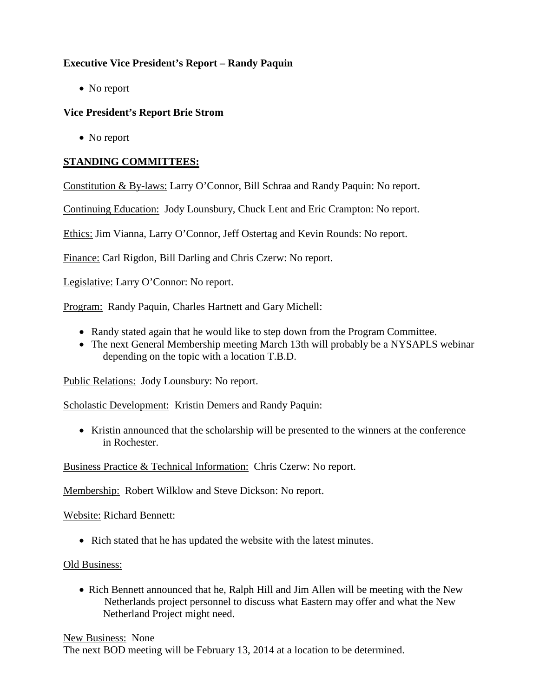# **Executive Vice President's Report – Randy Paquin**

• No report

## **Vice President's Report Brie Strom**

• No report

## **STANDING COMMITTEES:**

Constitution & By-laws: Larry O'Connor, Bill Schraa and Randy Paquin: No report.

Continuing Education: Jody Lounsbury, Chuck Lent and Eric Crampton: No report.

Ethics: Jim Vianna, Larry O'Connor, Jeff Ostertag and Kevin Rounds: No report.

Finance: Carl Rigdon, Bill Darling and Chris Czerw: No report.

Legislative: Larry O'Connor: No report.

Program: Randy Paquin, Charles Hartnett and Gary Michell:

- Randy stated again that he would like to step down from the Program Committee.
- The next General Membership meeting March 13th will probably be a NYSAPLS webinar depending on the topic with a location T.B.D.

Public Relations: Jody Lounsbury: No report.

Scholastic Development: Kristin Demers and Randy Paquin:

• Kristin announced that the scholarship will be presented to the winners at the conference in Rochester.

Business Practice & Technical Information: Chris Czerw: No report.

Membership: Robert Wilklow and Steve Dickson: No report.

Website: Richard Bennett:

• Rich stated that he has updated the website with the latest minutes.

Old Business:

• Rich Bennett announced that he, Ralph Hill and Jim Allen will be meeting with the New Netherlands project personnel to discuss what Eastern may offer and what the New Netherland Project might need.

New Business: None The next BOD meeting will be February 13, 2014 at a location to be determined.